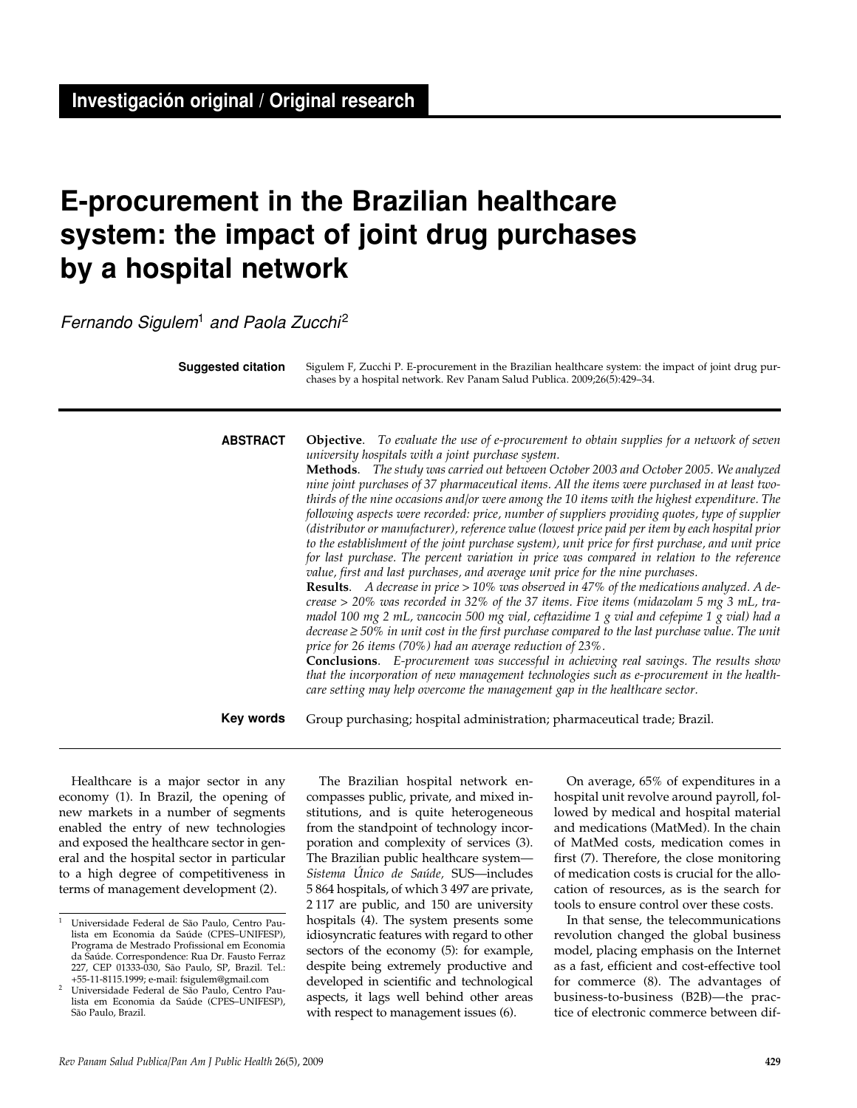# **E-procurement in the Brazilian healthcare system: the impact of joint drug purchases by a hospital network**

Fernando Sigulem<sup>1</sup> and Paola Zucchi<sup>2</sup>

**Suggested citation**

Sigulem F, Zucchi P. E-procurement in the Brazilian healthcare system: the impact of joint drug purchases by a hospital network. Rev Panam Salud Publica. 2009;26(5):429–34.

**ABSTRACT**

**Objective**. *To evaluate the use of e-procurement to obtain supplies for a network of seven university hospitals with a joint purchase system.*

**Methods**. *The study was carried out between October 2003 and October 2005. We analyzed nine joint purchases of 37 pharmaceutical items. All the items were purchased in at least twothirds of the nine occasions and/or were among the 10 items with the highest expenditure. The following aspects were recorded: price, number of suppliers providing quotes, type of supplier (distributor or manufacturer), reference value (lowest price paid per item by each hospital prior to the establishment of the joint purchase system), unit price for first purchase, and unit price for last purchase. The percent variation in price was compared in relation to the reference value, first and last purchases, and average unit price for the nine purchases.*

**Results**. *A decrease in price > 10% was observed in 47% of the medications analyzed. A decrease > 20% was recorded in 32% of the 37 items. Five items (midazolam 5 mg 3 mL, tramadol 100 mg 2 mL, vancocin 500 mg vial, ceftazidime 1 g vial and cefepime 1 g vial) had a decrease ≥ 50% in unit cost in the first purchase compared to the last purchase value. The unit price for 26 items (70%) had an average reduction of 23%.*

**Conclusions**. *E-procurement was successful in achieving real savings. The results show that the incorporation of new management technologies such as e-procurement in the healthcare setting may help overcome the management gap in the healthcare sector.*

**Key words**

Group purchasing; hospital administration; pharmaceutical trade; Brazil.

Healthcare is a major sector in any economy (1). In Brazil, the opening of new markets in a number of segments enabled the entry of new technologies and exposed the healthcare sector in general and the hospital sector in particular to a high degree of competitiveness in terms of management development (2).

The Brazilian hospital network encompasses public, private, and mixed institutions, and is quite heterogeneous from the standpoint of technology incorporation and complexity of services (3). The Brazilian public healthcare system— *Sistema Único de Saúde,* SUS—includes 5 864 hospitals, of which 3 497 are private, 2 117 are public, and 150 are university hospitals (4). The system presents some idiosyncratic features with regard to other sectors of the economy (5): for example, despite being extremely productive and developed in scientific and technological aspects, it lags well behind other areas with respect to management issues (6).

On average, 65% of expenditures in a hospital unit revolve around payroll, followed by medical and hospital material and medications (MatMed). In the chain of MatMed costs, medication comes in first (7). Therefore, the close monitoring of medication costs is crucial for the allocation of resources, as is the search for tools to ensure control over these costs.

In that sense, the telecommunications revolution changed the global business model, placing emphasis on the Internet as a fast, efficient and cost-effective tool for commerce (8). The advantages of business-to-business (B2B)—the practice of electronic commerce between dif-

<sup>1</sup> Universidade Federal de São Paulo, Centro Paulista em Economia da Saúde (CPES–UNIFESP), Programa de Mestrado Profissional em Economia da Saúde. Correspondence: Rua Dr. Fausto Ferraz 227, CEP 01333-030, São Paulo, SP, Brazil. Tel.: +55-11-8115.1999; e-mail: fsigulem@gmail.com

<sup>2</sup> Universidade Federal de São Paulo, Centro Paulista em Economia da Saúde (CPES–UNIFESP), São Paulo, Brazil.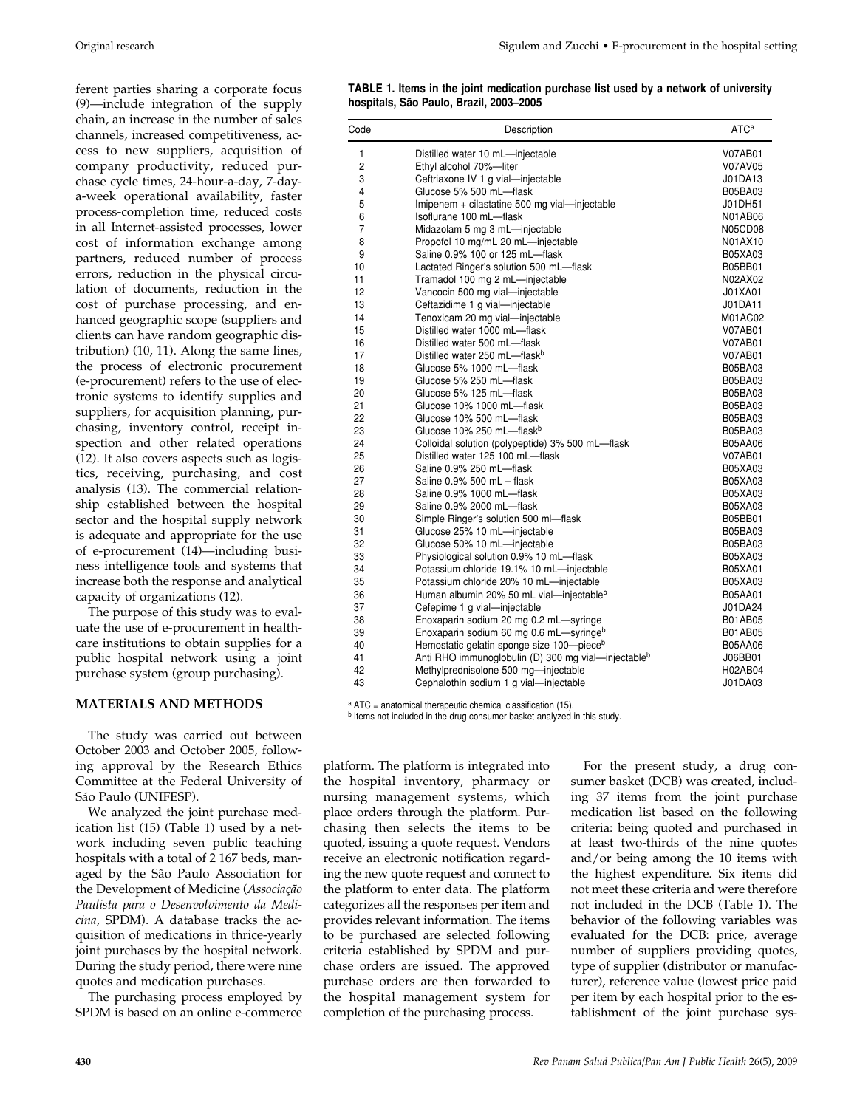ferent parties sharing a corporate focus (9)—include integration of the supply chain, an increase in the number of sales channels, increased competitiveness, access to new suppliers, acquisition of company productivity, reduced purchase cycle times, 24-hour-a-day, 7-daya-week operational availability, faster process-completion time, reduced costs in all Internet-assisted processes, lower cost of information exchange among partners, reduced number of process errors, reduction in the physical circulation of documents, reduction in the cost of purchase processing, and enhanced geographic scope (suppliers and clients can have random geographic distribution) (10, 11). Along the same lines, the process of electronic procurement (e-procurement) refers to the use of electronic systems to identify supplies and suppliers, for acquisition planning, purchasing, inventory control, receipt inspection and other related operations (12). It also covers aspects such as logistics, receiving, purchasing, and cost analysis (13). The commercial relationship established between the hospital sector and the hospital supply network is adequate and appropriate for the use of e-procurement (14)—including business intelligence tools and systems that increase both the response and analytical capacity of organizations (12).

The purpose of this study was to evaluate the use of e-procurement in healthcare institutions to obtain supplies for a public hospital network using a joint purchase system (group purchasing).

# **MATERIALS AND METHODS**

The study was carried out between October 2003 and October 2005, following approval by the Research Ethics Committee at the Federal University of São Paulo (UNIFESP).

We analyzed the joint purchase medication list (15) (Table 1) used by a network including seven public teaching hospitals with a total of 2 167 beds, managed by the São Paulo Association for the Development of Medicine (*Associação Paulista para o Desenvolvimento da Medicina*, SPDM). A database tracks the acquisition of medications in thrice-yearly joint purchases by the hospital network. During the study period, there were nine quotes and medication purchases.

The purchasing process employed by SPDM is based on an online e-commerce

| Code           | Description                                      | ATC <sup>a</sup> |
|----------------|--------------------------------------------------|------------------|
| 1              | Distilled water 10 mL-injectable                 | V07AB01          |
| 2              | Ethyl alcohol 70%-liter                          | V07AV05          |
| 3              | Ceftriaxone IV 1 g vial-injectable               | J01DA13          |
| $\overline{4}$ | Glucose 5% 500 mL-flask                          | B05BA03          |
| 5              | Imipenem + cilastatine 500 mg vial-injectable    | J01DH51          |
| 6              | Isoflurane 100 mL-flask                          | N01AB06          |
| $\overline{7}$ | Midazolam 5 mg 3 mL-injectable                   | N05CD08          |
| 8              | Propofol 10 mg/mL 20 mL-injectable               | N01AX10          |
| 9              | Saline 0.9% 100 or 125 mL-flask                  | B05XA03          |
| 10             | Lactated Ringer's solution 500 mL-flask          | B05BB01          |
| 11             | Tramadol 100 mg 2 mL-injectable                  | N02AX02          |
| 12             | Vancocin 500 mg vial-injectable                  | J01XA01          |
| 13             | Ceftazidime 1 g vial-injectable                  | J01DA11          |
| 14             | Tenoxicam 20 mg vial-injectable                  | M01AC02          |
| 15             | Distilled water 1000 mL-flask                    | V07AB01          |
| 16             | Distilled water 500 mL-flask                     | V07AB01          |
| 17             | Distilled water 250 mL-flask <sup>b</sup>        | V07AB01          |
| 18             | Glucose 5% 1000 mL-flask                         | B05BA03          |
| 19             | Glucose 5% 250 mL-flask                          | B05BA03          |
| 20             | Glucose 5% 125 mL-flask                          | B05BA03          |
| 21             | Glucose 10% 1000 mL-flask                        | B05BA03          |
| 22             | Glucose 10% 500 mL-flask                         | B05BA03          |
| 23             | Glucose 10% 250 mL-flask <sup>b</sup>            | B05BA03          |
| 24             | Colloidal solution (polypeptide) 3% 500 mL-flask | B05AA06          |
| 25             | Distilled water 125 100 mL-flask                 | V07AB01          |
| 26             | Saline 0.9% 250 mL-flask                         | B05XA03          |
| 27             | Saline 0.9% 500 mL - flask                       | B05XA03          |
| 28             | Saline 0.9% 1000 mL-flask                        | B05XA03          |
| 29             | Saline 0.9% 2000 mL-flask                        | B05XA03          |

30 Simple Ringer's solution 500 ml—flask B05BB01<br>31 Glucose 25% 10 mL—injectable B05BA03 31 Glucose 25% 10 mL—injectable<br>32 Glucose 50% 10 mL—injectable B05BA03 B05BA03

33 Physiological solution 0.9% 10 mL—flask B05XA03<br>34 Potassium chloride 19.1% 10 mL—injectable B05XA01

35 Potassium chloride 20% 10 mL—injectable B05XA03 36 Human albumin 20% 50 mL vial—injectable<sup>b</sup> B05AA01<br>37 Cefepime 1 a vial—injectable B05AA01

38 Enoxaparin sodium 20 mg 0.2 mL—syringe B01AB05<br>39 Enoxaparin sodium 60 mg 0.6 mL—syringe<sup>b</sup> B01AB05

40 Hemostatic gelatin sponge size 100—piece<sup>b</sup> B05AA06 41 Anti RHO immunoglobulin (D) 300 mg vial—injectable<sup>b</sup> J06BB01 42 Methylprednisolone 500 mg—injectable de announce and the H02AB04<br>43 Cephalothin sodium 1 q vial—injectable de announce de de J01DA03

Cefepime 1 g vial—injectable  $J01DA24$ 

**TABLE 1. Items in the joint medication purchase list used by a network of university hospitals, São Paulo, Brazil, 2003–2005** 

 $a$  ATC = anatomical therapeutic chemical classification (15).

b Items not included in the drug consumer basket analyzed in this study.

Glucose 50% 10 mL-injectable

Potassium chloride 19.1% 10 mL-injectable

Enoxaparin sodium 60 mg 0.6 mL-syringeb

Cephalothin sodium 1 g vial—injectable

platform. The platform is integrated into the hospital inventory, pharmacy or nursing management systems, which place orders through the platform. Purchasing then selects the items to be quoted, issuing a quote request. Vendors receive an electronic notification regarding the new quote request and connect to the platform to enter data. The platform categorizes all the responses per item and provides relevant information. The items to be purchased are selected following criteria established by SPDM and purchase orders are issued. The approved purchase orders are then forwarded to the hospital management system for completion of the purchasing process.

For the present study, a drug consumer basket (DCB) was created, including 37 items from the joint purchase medication list based on the following criteria: being quoted and purchased in at least two-thirds of the nine quotes and/or being among the 10 items with the highest expenditure. Six items did not meet these criteria and were therefore not included in the DCB (Table 1). The behavior of the following variables was evaluated for the DCB: price, average number of suppliers providing quotes, type of supplier (distributor or manufacturer), reference value (lowest price paid per item by each hospital prior to the establishment of the joint purchase sys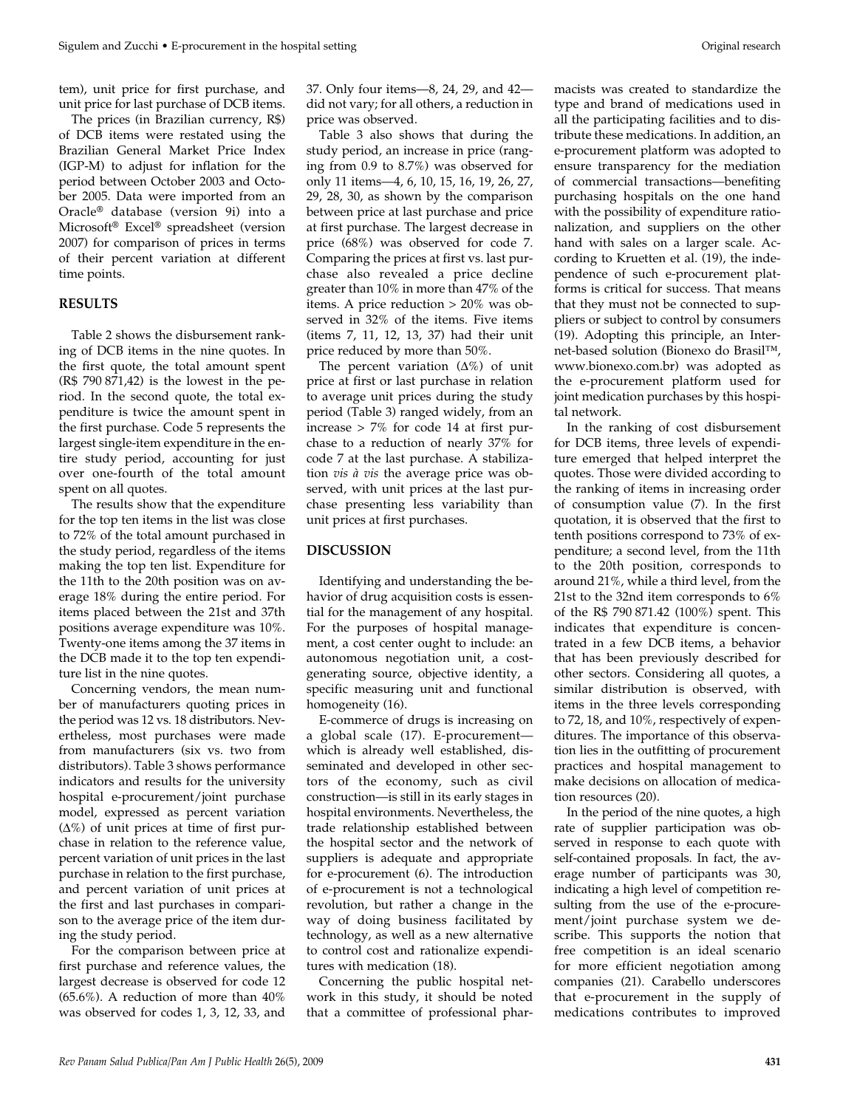tem), unit price for first purchase, and unit price for last purchase of DCB items.

The prices (in Brazilian currency, R\$) of DCB items were restated using the Brazilian General Market Price Index (IGP-M) to adjust for inflation for the period between October 2003 and October 2005. Data were imported from an Oracle® database (version 9i) into a Microsoft® Excel® spreadsheet (version 2007) for comparison of prices in terms of their percent variation at different time points.

#### **RESULTS**

Table 2 shows the disbursement ranking of DCB items in the nine quotes. In the first quote, the total amount spent (R\$ 790 871,42) is the lowest in the period. In the second quote, the total expenditure is twice the amount spent in the first purchase. Code 5 represents the largest single-item expenditure in the entire study period, accounting for just over one-fourth of the total amount spent on all quotes.

The results show that the expenditure for the top ten items in the list was close to 72% of the total amount purchased in the study period, regardless of the items making the top ten list. Expenditure for the 11th to the 20th position was on average 18% during the entire period. For items placed between the 21st and 37th positions average expenditure was 10%. Twenty-one items among the 37 items in the DCB made it to the top ten expenditure list in the nine quotes.

Concerning vendors, the mean number of manufacturers quoting prices in the period was 12 vs. 18 distributors. Nevertheless, most purchases were made from manufacturers (six vs. two from distributors). Table 3 shows performance indicators and results for the university hospital e-procurement/joint purchase model, expressed as percent variation  $(\Delta\%)$  of unit prices at time of first purchase in relation to the reference value, percent variation of unit prices in the last purchase in relation to the first purchase, and percent variation of unit prices at the first and last purchases in comparison to the average price of the item during the study period.

For the comparison between price at first purchase and reference values, the largest decrease is observed for code 12 (65.6%). A reduction of more than 40% was observed for codes 1, 3, 12, 33, and

37. Only four items—8, 24, 29, and 42 did not vary; for all others, a reduction in price was observed.

Table 3 also shows that during the study period, an increase in price (ranging from 0.9 to 8.7%) was observed for only 11 items—4, 6, 10, 15, 16, 19, 26, 27, 29, 28, 30, as shown by the comparison between price at last purchase and price at first purchase. The largest decrease in price (68%) was observed for code 7. Comparing the prices at first vs. last purchase also revealed a price decline greater than 10% in more than 47% of the items. A price reduction > 20% was observed in 32% of the items. Five items (items 7, 11, 12, 13, 37) had their unit price reduced by more than 50%.

The percent variation  $(\Delta\%)$  of unit price at first or last purchase in relation to average unit prices during the study period (Table 3) ranged widely, from an increase > 7% for code 14 at first purchase to a reduction of nearly 37% for code 7 at the last purchase. A stabilization *vis à vis* the average price was observed, with unit prices at the last purchase presenting less variability than unit prices at first purchases.

### **DISCUSSION**

Identifying and understanding the behavior of drug acquisition costs is essential for the management of any hospital. For the purposes of hospital management, a cost center ought to include: an autonomous negotiation unit, a costgenerating source, objective identity, a specific measuring unit and functional homogeneity (16).

E-commerce of drugs is increasing on a global scale (17). E-procurement which is already well established, disseminated and developed in other sectors of the economy, such as civil construction—is still in its early stages in hospital environments. Nevertheless, the trade relationship established between the hospital sector and the network of suppliers is adequate and appropriate for e-procurement (6). The introduction of e-procurement is not a technological revolution, but rather a change in the way of doing business facilitated by technology, as well as a new alternative to control cost and rationalize expenditures with medication (18).

Concerning the public hospital network in this study, it should be noted that a committee of professional phar-

macists was created to standardize the type and brand of medications used in all the participating facilities and to distribute these medications. In addition, an e-procurement platform was adopted to ensure transparency for the mediation of commercial transactions—benefiting purchasing hospitals on the one hand with the possibility of expenditure rationalization, and suppliers on the other hand with sales on a larger scale. According to Kruetten et al. (19), the independence of such e-procurement platforms is critical for success. That means that they must not be connected to suppliers or subject to control by consumers (19). Adopting this principle, an Internet-based solution (Bionexo do Brasil™, www.bionexo.com.br) was adopted as the e-procurement platform used for joint medication purchases by this hospital network.

In the ranking of cost disbursement for DCB items, three levels of expenditure emerged that helped interpret the quotes. Those were divided according to the ranking of items in increasing order of consumption value (7). In the first quotation, it is observed that the first to tenth positions correspond to 73% of expenditure; a second level, from the 11th to the 20th position, corresponds to around 21%, while a third level, from the 21st to the 32nd item corresponds to 6% of the R\$ 790 871.42 (100%) spent. This indicates that expenditure is concentrated in a few DCB items, a behavior that has been previously described for other sectors. Considering all quotes, a similar distribution is observed, with items in the three levels corresponding to 72, 18, and 10%, respectively of expenditures. The importance of this observation lies in the outfitting of procurement practices and hospital management to make decisions on allocation of medication resources (20).

In the period of the nine quotes, a high rate of supplier participation was observed in response to each quote with self-contained proposals. In fact, the average number of participants was 30, indicating a high level of competition resulting from the use of the e-procurement/joint purchase system we describe. This supports the notion that free competition is an ideal scenario for more efficient negotiation among companies (21). Carabello underscores that e-procurement in the supply of medications contributes to improved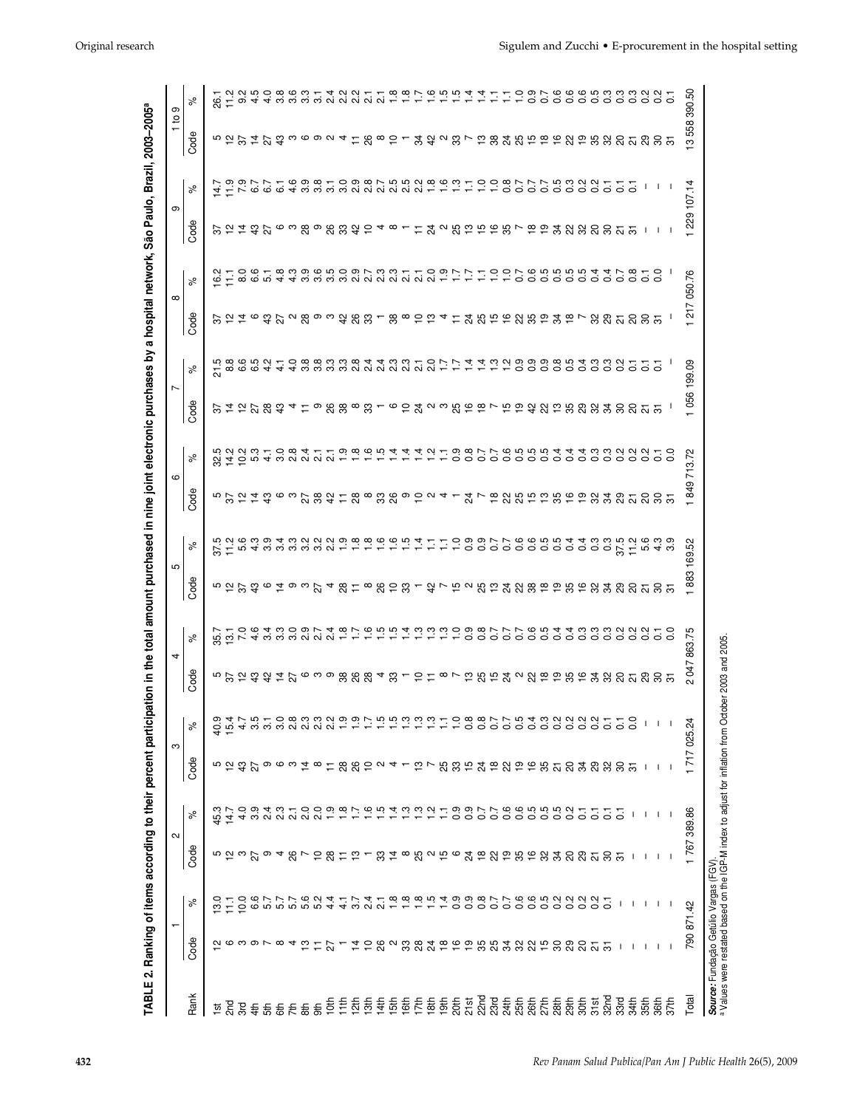|              |                                              |                               | $\sim$                                 |              | ო                                      |                              | 4                                                                               |        | 5                                                                                               |        | ဖ                                                                                                     |        | Ľ                                                                                                     |            | $\infty$ |                                                                                                                                                                                                                                     | ၜ                                         |                                                                                       | $\mathbf{a}$ | ၜ          |
|--------------|----------------------------------------------|-------------------------------|----------------------------------------|--------------|----------------------------------------|------------------------------|---------------------------------------------------------------------------------|--------|-------------------------------------------------------------------------------------------------|--------|-------------------------------------------------------------------------------------------------------|--------|-------------------------------------------------------------------------------------------------------|------------|----------|-------------------------------------------------------------------------------------------------------------------------------------------------------------------------------------------------------------------------------------|-------------------------------------------|---------------------------------------------------------------------------------------|--------------|------------|
| Rank         | Code                                         | న్                            | Code                                   | న్           | Code                                   | న్                           | Code                                                                            | న్     | Code                                                                                            | న      | Code                                                                                                  | న్     | Code                                                                                                  | న          | Code     | న్                                                                                                                                                                                                                                  | Code                                      | న్                                                                                    | Code         | ಸಿ         |
|              |                                              |                               |                                        |              |                                        |                              |                                                                                 |        |                                                                                                 |        |                                                                                                       |        |                                                                                                       |            |          |                                                                                                                                                                                                                                     |                                           |                                                                                       |              |            |
|              |                                              | $\mathfrak{D}$ $\mathfrak{D}$ |                                        | 45.7<br>14.7 |                                        |                              |                                                                                 |        |                                                                                                 |        |                                                                                                       |        |                                                                                                       |            |          |                                                                                                                                                                                                                                     |                                           |                                                                                       |              |            |
|              |                                              |                               |                                        |              |                                        |                              |                                                                                 |        |                                                                                                 |        |                                                                                                       |        |                                                                                                       |            |          |                                                                                                                                                                                                                                     |                                           |                                                                                       |              |            |
|              |                                              |                               |                                        |              |                                        |                              |                                                                                 |        |                                                                                                 |        |                                                                                                       |        |                                                                                                       |            |          |                                                                                                                                                                                                                                     |                                           |                                                                                       |              |            |
|              |                                              |                               |                                        |              |                                        |                              |                                                                                 |        |                                                                                                 |        |                                                                                                       |        |                                                                                                       |            |          |                                                                                                                                                                                                                                     |                                           |                                                                                       |              |            |
|              |                                              |                               |                                        |              |                                        |                              |                                                                                 |        |                                                                                                 |        |                                                                                                       |        |                                                                                                       |            |          |                                                                                                                                                                                                                                     |                                           |                                                                                       |              |            |
|              |                                              |                               |                                        |              |                                        |                              |                                                                                 |        |                                                                                                 |        |                                                                                                       |        |                                                                                                       |            |          |                                                                                                                                                                                                                                     |                                           |                                                                                       |              |            |
|              |                                              |                               |                                        |              |                                        |                              |                                                                                 |        |                                                                                                 |        |                                                                                                       |        |                                                                                                       |            |          |                                                                                                                                                                                                                                     |                                           |                                                                                       |              |            |
|              | <b>2</b> てっこうしょ やけび                          |                               |                                        |              |                                        | ਉਂ ਦੱਖ ਲਾਲਾਂ ਲਾਂ ਲਾਂ ਲਾਂ ਲਾਂ | 5 了 ひ ね ね は び 6 3 9 % % 2 3 7 0 7 8 7 0 迄 迄 4 2 2 2 9 9 万 3 ℃ み 辺 刃 幻 刃 刃 切 切 切 |        | 5 2 好 3 6 2 6 2 6 2 6 2 5 4 8 7 6 9 8 2 8 7 2 7 2 7 9 7 8 2 8 2 8 8 9 9 9 8 9 9 8 9 8 8 8 7 8 7 |        | 5 卯 12 12 12 12 12 12 12 12 13 13 14 12 13 13 14 15 16 16 17 17 18 19 19 19 19 19 19 19 19 19 19 19 1 |        | 了 は 12 万 83 43 4 12 9 88 98 98 10 9 12 4 9 10 98 99 10 99 10 99 10 99 10 99 10 99 10 99 10 99 10 99 1 |            |          | contrated conditions contrated direction di condition di conditione di conditione di conditione di conditione<br>Commissione di conditione di conditione di conditione di conditione di conditione di conditione di conditione<br>C | 了2420698983342481123482459587823383555111 | フョッファー 698109875528631 1 つい877753221 1 ついりの 1 ついいい 1 つうのく 1 ついのう 1 ついのう 1 ついのの 1 ついいい |              |            |
|              |                                              |                               |                                        |              |                                        |                              |                                                                                 |        |                                                                                                 |        |                                                                                                       |        |                                                                                                       |            |          |                                                                                                                                                                                                                                     |                                           |                                                                                       |              |            |
|              |                                              |                               |                                        |              |                                        |                              |                                                                                 |        |                                                                                                 |        |                                                                                                       |        |                                                                                                       |            |          |                                                                                                                                                                                                                                     |                                           |                                                                                       |              |            |
|              |                                              |                               |                                        |              |                                        |                              |                                                                                 |        |                                                                                                 |        |                                                                                                       |        |                                                                                                       |            |          |                                                                                                                                                                                                                                     |                                           |                                                                                       |              |            |
|              |                                              |                               |                                        |              |                                        |                              |                                                                                 |        |                                                                                                 |        |                                                                                                       |        |                                                                                                       |            |          |                                                                                                                                                                                                                                     |                                           |                                                                                       |              |            |
|              |                                              |                               |                                        |              |                                        |                              |                                                                                 |        |                                                                                                 |        |                                                                                                       |        |                                                                                                       |            |          |                                                                                                                                                                                                                                     |                                           |                                                                                       |              |            |
|              |                                              |                               |                                        |              |                                        |                              |                                                                                 |        |                                                                                                 |        |                                                                                                       |        |                                                                                                       |            |          |                                                                                                                                                                                                                                     |                                           |                                                                                       |              |            |
|              |                                              |                               |                                        |              |                                        |                              |                                                                                 |        |                                                                                                 |        |                                                                                                       |        |                                                                                                       |            |          |                                                                                                                                                                                                                                     |                                           |                                                                                       |              |            |
|              |                                              |                               |                                        |              |                                        |                              |                                                                                 |        |                                                                                                 |        |                                                                                                       |        |                                                                                                       |            |          |                                                                                                                                                                                                                                     |                                           |                                                                                       |              |            |
|              |                                              |                               |                                        |              |                                        |                              |                                                                                 |        |                                                                                                 |        |                                                                                                       |        |                                                                                                       |            |          |                                                                                                                                                                                                                                     |                                           |                                                                                       |              |            |
|              |                                              |                               |                                        |              |                                        |                              |                                                                                 |        |                                                                                                 |        |                                                                                                       |        |                                                                                                       |            |          |                                                                                                                                                                                                                                     |                                           |                                                                                       |              |            |
|              |                                              |                               |                                        |              |                                        |                              |                                                                                 |        |                                                                                                 |        |                                                                                                       |        |                                                                                                       |            |          |                                                                                                                                                                                                                                     |                                           |                                                                                       |              |            |
|              |                                              |                               |                                        |              |                                        |                              |                                                                                 |        |                                                                                                 |        |                                                                                                       |        |                                                                                                       |            |          |                                                                                                                                                                                                                                     |                                           |                                                                                       |              |            |
|              |                                              |                               |                                        |              |                                        |                              |                                                                                 |        |                                                                                                 |        |                                                                                                       |        |                                                                                                       |            |          |                                                                                                                                                                                                                                     |                                           |                                                                                       |              |            |
|              |                                              |                               |                                        |              |                                        |                              |                                                                                 |        |                                                                                                 |        |                                                                                                       |        |                                                                                                       |            |          |                                                                                                                                                                                                                                     |                                           |                                                                                       |              |            |
|              |                                              |                               |                                        |              |                                        |                              |                                                                                 |        |                                                                                                 |        |                                                                                                       |        |                                                                                                       |            |          |                                                                                                                                                                                                                                     |                                           |                                                                                       |              |            |
|              |                                              |                               |                                        |              |                                        |                              |                                                                                 |        |                                                                                                 |        |                                                                                                       |        |                                                                                                       |            |          |                                                                                                                                                                                                                                     |                                           |                                                                                       |              |            |
|              | 120828834299883889988855                     |                               |                                        |              |                                        |                              |                                                                                 |        |                                                                                                 |        |                                                                                                       |        |                                                                                                       |            |          |                                                                                                                                                                                                                                     |                                           |                                                                                       |              |            |
|              |                                              |                               |                                        |              |                                        |                              |                                                                                 |        |                                                                                                 |        |                                                                                                       |        |                                                                                                       |            |          |                                                                                                                                                                                                                                     |                                           |                                                                                       |              |            |
|              |                                              |                               |                                        |              |                                        |                              |                                                                                 |        |                                                                                                 |        |                                                                                                       |        |                                                                                                       |            |          |                                                                                                                                                                                                                                     |                                           |                                                                                       |              |            |
|              |                                              |                               |                                        |              |                                        |                              |                                                                                 |        |                                                                                                 |        |                                                                                                       |        |                                                                                                       |            |          |                                                                                                                                                                                                                                     |                                           |                                                                                       |              |            |
|              |                                              |                               |                                        |              |                                        |                              |                                                                                 |        |                                                                                                 |        |                                                                                                       |        |                                                                                                       |            |          |                                                                                                                                                                                                                                     |                                           |                                                                                       |              |            |
|              |                                              |                               |                                        |              |                                        |                              |                                                                                 |        |                                                                                                 |        |                                                                                                       |        |                                                                                                       |            |          |                                                                                                                                                                                                                                     |                                           |                                                                                       |              |            |
|              |                                              |                               |                                        |              |                                        |                              |                                                                                 |        |                                                                                                 |        |                                                                                                       |        |                                                                                                       |            |          |                                                                                                                                                                                                                                     |                                           |                                                                                       |              |            |
|              |                                              |                               |                                        |              |                                        |                              |                                                                                 |        |                                                                                                 |        |                                                                                                       |        |                                                                                                       |            |          |                                                                                                                                                                                                                                     |                                           |                                                                                       |              |            |
|              | $\mathbf{I}$                                 | $\mathbf{I}$                  |                                        |              |                                        |                              |                                                                                 |        |                                                                                                 |        |                                                                                                       |        |                                                                                                       |            |          |                                                                                                                                                                                                                                     |                                           |                                                                                       |              |            |
|              | $1 \quad 1 \quad 1$                          | 1111                          |                                        |              | $\mathbf{1}$ $\mathbf{1}$ $\mathbf{1}$ | $1 \quad 1 \quad 1$          |                                                                                 |        |                                                                                                 |        |                                                                                                       |        |                                                                                                       |            |          |                                                                                                                                                                                                                                     |                                           |                                                                                       |              |            |
|              |                                              |                               |                                        |              |                                        |                              |                                                                                 |        |                                                                                                 |        |                                                                                                       |        |                                                                                                       |            |          |                                                                                                                                                                                                                                     |                                           |                                                                                       |              |            |
|              |                                              |                               |                                        |              |                                        |                              |                                                                                 |        |                                                                                                 |        |                                                                                                       |        |                                                                                                       |            |          |                                                                                                                                                                                                                                     |                                           |                                                                                       |              |            |
| <b>Total</b> |                                              | 790 871.42                    | 767                                    | 389.86       | 1717025.24                             |                              | 047<br>$\sim$                                                                   | 863.75 | 1883                                                                                            | 169.52 | 849                                                                                                   | 713.72 |                                                                                                       | 056 199.09 | 217      | 050.76                                                                                                                                                                                                                              | 1 229 107.14                              |                                                                                       | 558<br>ഇ     | S.<br>390. |
|              | <b>Source:</b> Fundação Getúlio Vargas (FGV) |                               |                                        |              |                                        |                              |                                                                                 |        |                                                                                                 |        |                                                                                                       |        |                                                                                                       |            |          |                                                                                                                                                                                                                                     |                                           |                                                                                       |              |            |
|              |                                              |                               | the ICD Mindov to adjust for inflation |              |                                        |                              |                                                                                 |        |                                                                                                 |        |                                                                                                       |        |                                                                                                       |            |          |                                                                                                                                                                                                                                     |                                           |                                                                                       |              |            |

Values were restated based on the IGP-M index to adjust for inflation from October 2003 and 2005.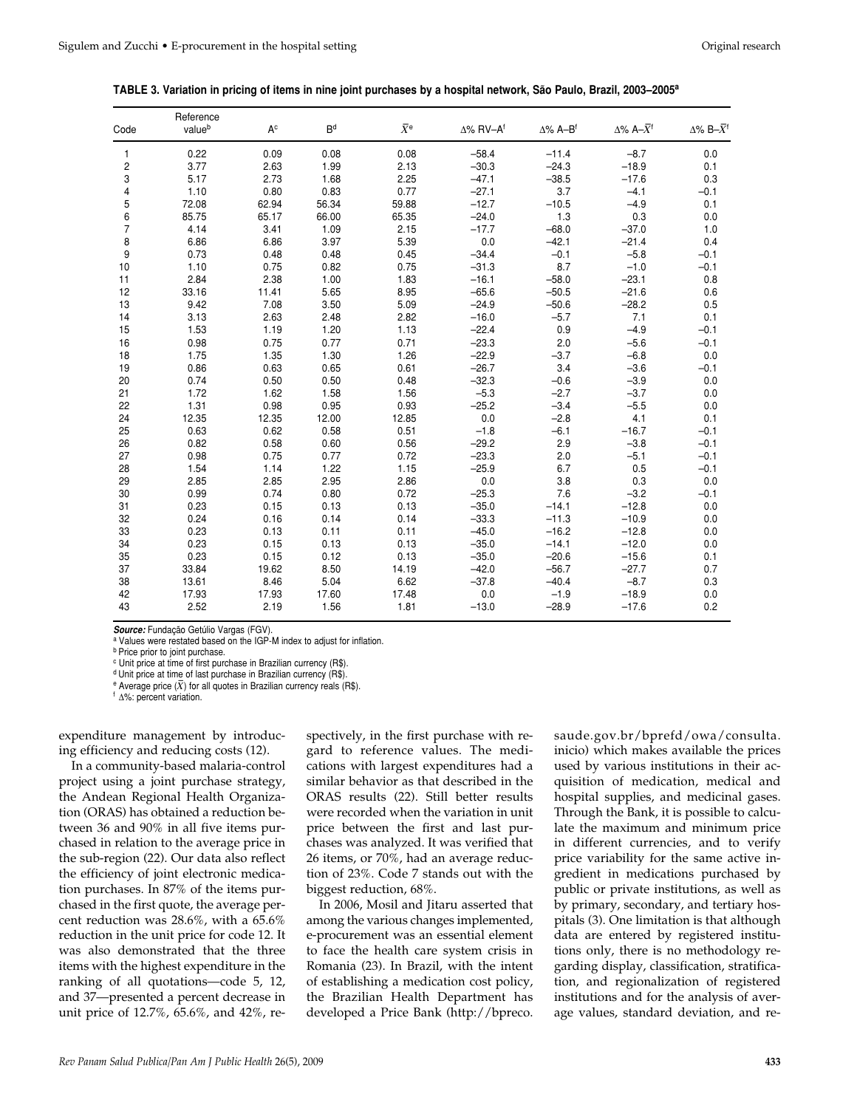| Code | Reference<br>valueb | $A^c$ | B <sup>d</sup> | $\bar{X}^e$ | $\Delta\%$ RV-A <sup>f</sup> | $\Delta\%$ A-B <sup>f</sup> | $\Delta\%$ A- $\overline{X}$ <sup>f</sup> | $\Delta\%$ B- $\bar{X}$ <sup>f</sup> |
|------|---------------------|-------|----------------|-------------|------------------------------|-----------------------------|-------------------------------------------|--------------------------------------|
| 1    | 0.22                | 0.09  | 0.08           | 0.08        | $-58.4$                      | $-11.4$                     | $-8.7$                                    | 0.0                                  |
| 2    | 3.77                | 2.63  | 1.99           | 2.13        | $-30.3$                      | $-24.3$                     | $-18.9$                                   | 0.1                                  |
| 3    | 5.17                | 2.73  | 1.68           | 2.25        | $-47.1$                      | $-38.5$                     | $-17.6$                                   | 0.3                                  |
| 4    | 1.10                | 0.80  | 0.83           | 0.77        | $-27.1$                      | 3.7                         | $-4.1$                                    | $-0.1$                               |
| 5    | 72.08               | 62.94 | 56.34          | 59.88       | $-12.7$                      | $-10.5$                     | $-4.9$                                    | 0.1                                  |
| 6    | 85.75               | 65.17 | 66.00          | 65.35       | $-24.0$                      | 1.3                         | 0.3                                       | 0.0                                  |
| 7    | 4.14                | 3.41  | 1.09           | 2.15        | $-17.7$                      | $-68.0$                     | $-37.0$                                   | 1.0                                  |
| 8    | 6.86                | 6.86  | 3.97           | 5.39        | 0.0                          | $-42.1$                     | $-21.4$                                   | 0.4                                  |
| 9    | 0.73                | 0.48  | 0.48           | 0.45        | $-34.4$                      | $-0.1$                      | $-5.8$                                    | $-0.1$                               |
| 10   | 1.10                | 0.75  | 0.82           | 0.75        | $-31.3$                      | 8.7                         | $-1.0$                                    | $-0.1$                               |
| 11   | 2.84                | 2.38  | 1.00           | 1.83        | $-16.1$                      | $-58.0$                     | $-23.1$                                   | 0.8                                  |
| 12   | 33.16               | 11.41 | 5.65           | 8.95        | $-65.6$                      | $-50.5$                     | $-21.6$                                   | 0.6                                  |
| 13   | 9.42                | 7.08  | 3.50           | 5.09        | $-24.9$                      | $-50.6$                     | $-28.2$                                   | 0.5                                  |
| 14   | 3.13                | 2.63  | 2.48           | 2.82        | $-16.0$                      | $-5.7$                      | 7.1                                       | 0.1                                  |
| 15   | 1.53                | 1.19  | 1.20           | 1.13        | $-22.4$                      | 0.9                         | $-4.9$                                    | $-0.1$                               |
| 16   | 0.98                | 0.75  | 0.77           | 0.71        | $-23.3$                      | 2.0                         | $-5.6$                                    | $-0.1$                               |
| 18   | 1.75                | 1.35  | 1.30           | 1.26        | $-22.9$                      | $-3.7$                      | $-6.8$                                    | 0.0                                  |
| 19   | 0.86                | 0.63  | 0.65           | 0.61        | $-26.7$                      | 3.4                         | $-3.6$                                    | $-0.1$                               |
| 20   | 0.74                | 0.50  | 0.50           | 0.48        | $-32.3$                      | $-0.6$                      | $-3.9$                                    | 0.0                                  |
| 21   | 1.72                | 1.62  | 1.58           | 1.56        | $-5.3$                       | $-2.7$                      | $-3.7$                                    | 0.0                                  |
| 22   | 1.31                | 0.98  | 0.95           | 0.93        | $-25.2$                      | $-3.4$                      | $-5.5$                                    | 0.0                                  |
| 24   | 12.35               | 12.35 | 12.00          | 12.85       | 0.0                          | $-2.8$                      | 4.1                                       | 0.1                                  |
| 25   | 0.63                | 0.62  | 0.58           | 0.51        | $-1.8$                       | $-6.1$                      | $-16.7$                                   | $-0.1$                               |
| 26   | 0.82                | 0.58  | 0.60           | 0.56        | $-29.2$                      | 2.9                         | $-3.8$                                    | $-0.1$                               |
| 27   | 0.98                | 0.75  | 0.77           | 0.72        | $-23.3$                      | 2.0                         | $-5.1$                                    | $-0.1$                               |
| 28   | 1.54                | 1.14  | 1.22           | 1.15        | $-25.9$                      | 6.7                         | 0.5                                       | $-0.1$                               |
| 29   | 2.85                | 2.85  | 2.95           | 2.86        | 0.0                          | 3.8                         | 0.3                                       | 0.0                                  |
| 30   | 0.99                | 0.74  | 0.80           | 0.72        | $-25.3$                      | 7.6                         | $-3.2$                                    | $-0.1$                               |
| 31   | 0.23                | 0.15  | 0.13           | 0.13        | $-35.0$                      | $-14.1$                     | $-12.8$                                   | 0.0                                  |
| 32   | 0.24                | 0.16  | 0.14           | 0.14        | $-33.3$                      | $-11.3$                     | $-10.9$                                   | 0.0                                  |
| 33   | 0.23                | 0.13  | 0.11           | 0.11        | $-45.0$                      | $-16.2$                     | $-12.8$                                   | 0.0                                  |
| 34   | 0.23                | 0.15  | 0.13           | 0.13        | $-35.0$                      | $-14.1$                     | $-12.0$                                   | 0.0                                  |
| 35   | 0.23                | 0.15  | 0.12           | 0.13        | $-35.0$                      | $-20.6$                     | $-15.6$                                   | 0.1                                  |
| 37   | 33.84               | 19.62 | 8.50           | 14.19       | $-42.0$                      | $-56.7$                     | $-27.7$                                   | 0.7                                  |
| 38   | 13.61               | 8.46  | 5.04           | 6.62        | $-37.8$                      | $-40.4$                     | $-8.7$                                    | 0.3                                  |
| 42   | 17.93               | 17.93 | 17.60          | 17.48       | 0.0                          | $-1.9$                      | $-18.9$                                   | 0.0                                  |
| 43   | 2.52                | 2.19  | 1.56           | 1.81        | $-13.0$                      | $-28.9$                     | $-17.6$                                   | 0.2                                  |

**Source:** Fundação Getúlio Vargas (FGV).

a Values were restated based on the IGP-M index to adjust for inflation.

**b** Price prior to joint purchase.

c Unit price at time of first purchase in Brazilian currency (R\$).

d Unit price at time of last purchase in Brazilian currency (R\$).

 $e^{\theta}$  Average price  $(\overline{X})$  for all quotes in Brazilian currency reals (R\$).

<sup>f</sup> Δ%: percent variation.

expenditure management by introducing efficiency and reducing costs (12).

In a community-based malaria-control project using a joint purchase strategy, the Andean Regional Health Organization (ORAS) has obtained a reduction between 36 and 90% in all five items purchased in relation to the average price in the sub-region (22). Our data also reflect the efficiency of joint electronic medication purchases. In 87% of the items purchased in the first quote, the average percent reduction was 28.6%, with a 65.6% reduction in the unit price for code 12. It was also demonstrated that the three items with the highest expenditure in the ranking of all quotations—code 5, 12, and 37—presented a percent decrease in unit price of 12.7%, 65.6%, and 42%, respectively, in the first purchase with regard to reference values. The medications with largest expenditures had a similar behavior as that described in the ORAS results (22). Still better results were recorded when the variation in unit price between the first and last purchases was analyzed. It was verified that 26 items, or 70%, had an average reduction of 23%. Code 7 stands out with the biggest reduction, 68%.

In 2006, Mosil and Jitaru asserted that among the various changes implemented, e-procurement was an essential element to face the health care system crisis in Romania (23). In Brazil, with the intent of establishing a medication cost policy, the Brazilian Health Department has developed a Price Bank (http://bpreco.

saude.gov.br/bprefd/owa/consulta. inicio) which makes available the prices used by various institutions in their acquisition of medication, medical and hospital supplies, and medicinal gases. Through the Bank, it is possible to calculate the maximum and minimum price in different currencies, and to verify price variability for the same active ingredient in medications purchased by public or private institutions, as well as by primary, secondary, and tertiary hospitals (3). One limitation is that although data are entered by registered institutions only, there is no methodology regarding display, classification, stratification, and regionalization of registered institutions and for the analysis of average values, standard deviation, and re